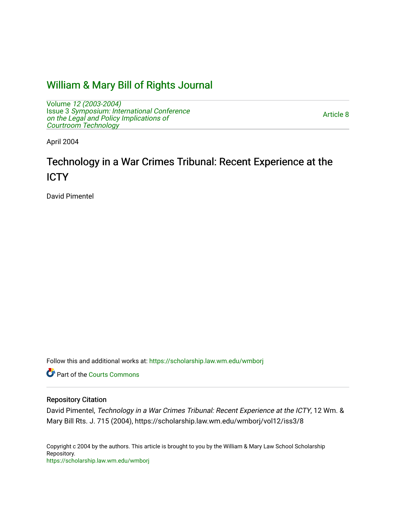## [William & Mary Bill of Rights Journal](https://scholarship.law.wm.edu/wmborj)

Volume [12 \(2003-2004\)](https://scholarship.law.wm.edu/wmborj/vol12)  Issue 3 [Symposium: International Conference](https://scholarship.law.wm.edu/wmborj/vol12/iss3) [on the Legal and Policy Implications of](https://scholarship.law.wm.edu/wmborj/vol12/iss3)  [Courtroom Technology](https://scholarship.law.wm.edu/wmborj/vol12/iss3) 

[Article 8](https://scholarship.law.wm.edu/wmborj/vol12/iss3/8) 

April 2004

# Technology in a War Crimes Tribunal: Recent Experience at the **ICTY**

David Pimentel

Follow this and additional works at: [https://scholarship.law.wm.edu/wmborj](https://scholarship.law.wm.edu/wmborj?utm_source=scholarship.law.wm.edu%2Fwmborj%2Fvol12%2Fiss3%2F8&utm_medium=PDF&utm_campaign=PDFCoverPages) 

Part of the [Courts Commons](http://network.bepress.com/hgg/discipline/839?utm_source=scholarship.law.wm.edu%2Fwmborj%2Fvol12%2Fiss3%2F8&utm_medium=PDF&utm_campaign=PDFCoverPages) 

### Repository Citation

David Pimentel, Technology in a War Crimes Tribunal: Recent Experience at the ICTY, 12 Wm. & Mary Bill Rts. J. 715 (2004), https://scholarship.law.wm.edu/wmborj/vol12/iss3/8

Copyright c 2004 by the authors. This article is brought to you by the William & Mary Law School Scholarship Repository. <https://scholarship.law.wm.edu/wmborj>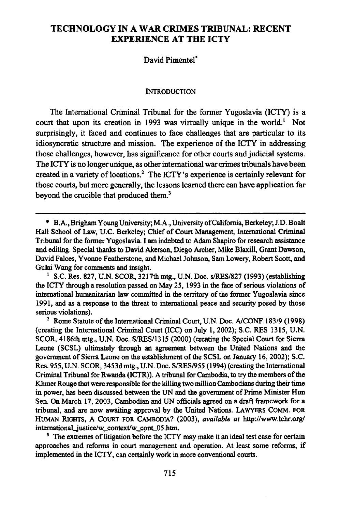### **TECHNOLOGY IN A WAR CRIMES TRIBUNAL: RECENT EXPERIENCE AT THE ICTY**

### David Pimentel"

#### **INTRODUCTION**

The International Criminal Tribunal for the former Yugoslavia (ICTY) is a court that upon its creation in 1993 was virtually unique in the world.' Not surprisingly, it faced and continues to face challenges that are particular to its idiosyncratic structure and mission. The experience of the ICTY in addressing those challenges, however, has significance for other courts and judicial systems. The ICTY is no longer unique, as other international war crimes tribunals have been created in a variety of locations.2 The ICTY's experience is certainly relevant for those courts, but more generally, the lessons learned there can have application far beyond the crucible that produced them.'

**3** The extremes of litigation before the ICTY may make it an ideal test case for certain approaches and reforms in court management and operation. At least some reforms, if implemented in the ICTY, can certainly work in more conventional courts.

**<sup>\*</sup>** B.A., Brigham Young University; M.A., University of California, Berkeley; J.D. Boalt Hall School of Law, **U.C.** Berkeley; Chief of Court Management, International Criminal Tribunal for the former Yugoslavia. **I** am indebted to Adam Shapiro for research assistance and editing. Special thanks to David Akerson, Diego Archer, Mike Blaxill, Grant Dawson, David Falces, Yvonne Featherstone, and Michael Johnson, Sam Lowery, Robert **Scott,** and Gulai Wang for comments and insight.

S.C. Res. **827, U.N.** SCOR, 3217th mtg., **U.N.** Doc. s/RES/827 **(1993)** (establishing the ICTY through a resolution passed on May **25, 1993** in the face of serious violations of international humanitarian law committed in the territory of the former Yugoslavia since **1991,** and as a response to the threat to international peace and security posed **by** those serious violations).

<sup>&</sup>lt;sup>2</sup> Rome Statute of the International Criminal Court, U.N. Doc. A/CONF. **183/9** (1998) (creating the International Criminal Court (ICC) on July 1, 2002); S.C. RES **1315,** U.N. **SCOR,** 4186th mtg., U.N. Doc. S/RES/1315 (2000) (creating the Special Court for Sierra Leone **(SCSL)** ultimately through an agreement between the United Nations and the government of Sierra Leone on the establishment of the **SCSL** on January **16,** 2002); **S.C.** Res. **955, U.N.** SCOR, **3453d** mtg., **U.N.** Doec. **S/RES/955** (1994) (creating the International Criminal Tribunal for Rwanda (ICTR)). **A** tribunal for Cambodia, to **try** the members of the **Khmer** Rouge that were responsible for the killing two million Cambodians during their time in power, has been discussed between the **UN** and the government of Prime Minister Hun Sen. On March **17, 2003,** Cambodian and **UN** officials agreed on a draft framework for a tribunal, and are now awaiting approval **by** the United Nations. **LAWYERS COMM. FOR** HuMAN **RIGHTS, A COURT FOR CAMBODIA? (2003),** *available at* http://www.lchr.org/ international\_justice/w\_context/w\_cont\_05.htm.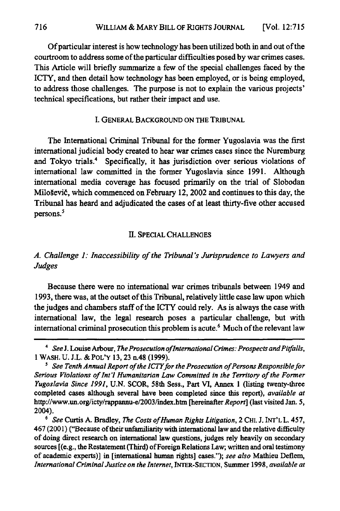Of particular interest is how technology has been utilized both in and out of the courtroom to address some of the particular difficulties posed by war crimes cases. This Article will briefly summarize a few of the special challenges faced **by** the ICTY, and then detail how technology has been employed, or is being employed, to address those challenges. The purpose is not to explain the various projects' technical specifications, but rather their impact and use.

### I. GENERAL BACKGROUND ON THE TRIBUNAL

The International Criminal Tribunal for the former Yugoslavia was the first international judicial body created to hear war crimes cases since the Nuremburg and Tokyo trials.' Specifically, it has jurisdiction over serious violations of international law committed in the former Yugoslavia since 1991. Although international media coverage has focused primarily on the trial of Slobodan Miloševič, which commenced on February 12, 2002 and continues to this day, the Tribunal has heard and adjudicated the cases of at least thirty-five other accused persons.<sup>5</sup>

### If. SPECIAL CHALLENGES

### *A. Challenge 1: Inaccessibility of the Tribunal's Jurisprudence to Lawyers and Judges*

Because there were no international war crimes tribunals between 1949 and **1993,** there was, at the outset of this Tribunal, relatively little case law upon which the judges and chambers staff of the ICTY could rely. As is always the case with international law, the legal research poses a particular challenge, but with international criminal prosecution this problem is acute.<sup>6</sup> Much of the relevant law

<sup>&</sup>lt;sup>4</sup> See J. Louise Arbour, *The Prosecution of International Crimes: Prospects and Pitfalls,* **1** WASH. **U.** J.L. &POL'Y **13, 23** n.48 **(1999).**

*<sup>&#</sup>x27; See Tenth Annual Report of the ICTYfor the Prosecution of Persons Responsible for Serious Violations of Int'l Humanitarian Law Committed in the Territory of the Former Yugoslavia Since 1991,* **U.N. SCOR,** 58th Sess., Part VI, Annex **1** (listing twenty-three completed cases although several have been completed since this report), *available at* http://www.un.org/icty/rappannu-e/2003/index.htm [hereinafter *Report]* (last visited Jan. **5,** 2004).

**<sup>6</sup>** *See* Curtis A. Bradley, *The Costs of Human Rights Litigation,* 2 **CHI.** J. INT'L L. 457, 467 (2001) ("Because of their unfamiliarity with international law and the relative difficulty of doing direct research on international law questions, judges rely heavily on secondary sources [(e.g., the Restatement (Third) of Foreign Relations Law; written and oral testimony of academic experts)] in [international human rights] cases."); *see also* Mathieu Deflem, *International Criminal Justice on the Internet,* INTER-SECTION, Summer **1998,** *available at*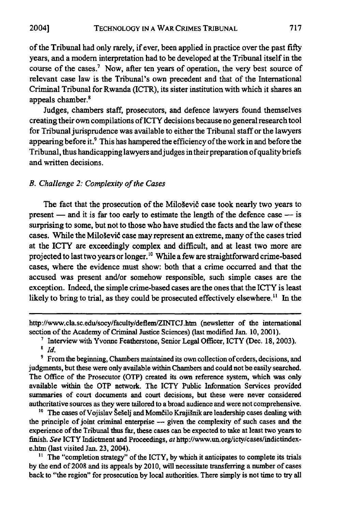**2004]**

of the Tribunal had only rarely, if ever, been applied in practice over the past **fifty** years, and a modem interpretation had to be developed at the Tribunal itself in the course of the cases.<sup>7</sup> Now, after ten years of operation, the very best source of relevant case law is the Tribunal's own precedent and that of the International Criminal Tribunal for Rwanda (ICTR), its sister institution with which it shares an appeals chamber.8

Judges, chambers staff, prosecutors, and defence lawyers found themselves creating their own compilations of ICTY decisions because no general research tool for Tribunal jurisprudence was available to either the Tribunal staff or the lawyers appearing before it.<sup>9</sup> This has hampered the efficiency of the work in and before the Tribunal, thus handicapping lawyers and judges in their preparation of quality briefs and written decisions.

### *B. Challenge 2: Complexity of the Cases*

The fact that the prosecution of the Miloševič case took nearly two years to present **-** and it is far too early to estimate the length of the defence case **-** is surprising to some, but not to those who have studied the facts and the law of these cases. While the Miloševič case may represent an extreme, many of the cases tried at the **ICTY** are exceedingly complex and difficult, and at least two more are projected to last two years or longer." While a few are straightforward crime-based cases, where the evidence must show: both that a crime occurred and that the accused was present and/or somehow responsible, such simple cases are the exception. Indeed, the simple crime-based cases are the ones that the ICTY is least likely to bring to trial, as they could be prosecuted effectively elsewhere.<sup>11</sup> In the

http://www.cla.sc.edu/socy/faculty/deflem/ZINTCJ.htm (newsletter of the international section of the Academy of Criminal Justice Sciences) (last modified Jan. **10,** 200 **1).**

Interview with Yvonne Featherstone, Senior **Legal** Officer, ICTY (Dec. **18, 2003).**

**9** From the beginning, Chambers maintained its own collection of orders, decisions, and judgments, but these were only available within Chambers and could not be easily searched. The Office of the Prosecutor (OTP) created its own reference system, which was only available within the OTP network. The ICTY Public Information Services provided summaries of court documents and court decisions, but these were never considered authoritative sources as they were tailored to a broad audience and were not comprehensive.

<sup>10</sup> The cases of Vojislav Šešelj and Momčilo Krajišnik are leadership cases dealing with the principle of joint criminal enterprise **-** given the complexity of such cases and the experience of the Tribunal thus far, these cases can be expected to take at least two **years** to finish. *See* ICTY Indictment and Proceedings, at http://www.un.org/icty/cases/indictindexe.htm (last visited Jan. **23,** 2004).

**"** The "completion strategy" of the ICTY, **by** which it anticipates to complete its trials **by** the end of **2008** and its appeals **by** 2010, will necessitate transferring a number of cases back to "the region" for prosecution **by** local authorities. There simply is not time to try all

*Id.*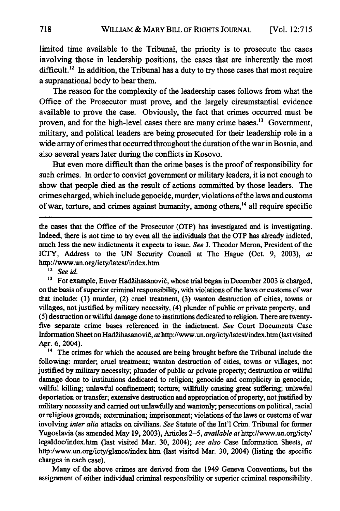limited time available to the Tribunal, the priority is to prosecute the cases involving those in leadership positions, the cases that are inherently the most difficult.<sup>12</sup> In addition, the Tribunal has a duty to try those cases that most require a supranational body to hear them.

The reason for the complexity of the leadership cases follows from what the Office of the Prosecutor must prove, and the largely circumstantial evidence available to prove the case. Obviously, the fact that crimes occurred must be proven, and for the high-level cases there are many crime bases.<sup>13</sup> Government, military, and political leaders are being prosecuted for their leadership role in a wide array of crimes that occurred throughout the duration of the war in Bosnia, and also several years later during the conflicts in Kosovo.

But even more difficult than the crime bases is the proof of responsibility for such crimes. In order to convict government or military leaders, it is not enough to show that people died as the result of actions committed **by** those leaders. The crimes charged, which include genocide, murder, violations of the laws and customs of war, torture, and crimes against humanity, among others,<sup>14</sup> all require specific

the cases that the Office of the Prosecutor (OTP) has investigated and is investigating. Indeed, there is not time to try even all the individuals that the OTP has already indicted, much less the new indictments it expects to issue. *See* J. Theodor Meron, President of the ICTY, Address to the **UN** Security Council at The Hague (Oct. 9, 2003), *at* http://www.un.org/icty/latest/index.htm.

*<sup>12</sup>See id.*

<sup>13</sup> For example, Enver Hadžihasanovič, whose trial began in December 2003 is charged, on the basis of superior criminal responsibility, with violations of the laws or customs of war that include: **(1)** murder, (2) cruel treatment, **(3)** wanton destruction of cities, towns or villages, not justified **by** military necessity, (4) plunder of public or private property, and **(5)** destruction or willful damage done to institutions dedicated to religion. There are twentyfive separate crime bases referenced in the indictment. *See* Court Documents Case Information Sheet on Hadžihasanovič, at http://www.un.org/icty/latest/index.htm (last visited Apr. 6, 2004).

<sup>14</sup> The crimes for which the accused are being brought before the Tribunal include the following: murder; cruel treatment; wanton destruction of cities, towns or villages, not justified **by** military necessity; plunder of public or private property; destruction or willful damage done to institutions dedicated to religion; genocide and complicity in genocide; willful killing; unlawful confinement; torture; willfully causing great suffering; unlawful deportation or transfer; extensive destruction and appropriation of property, not justified **by** military necessity and carried out unlawfully and wantonly; persecutions on political, racial or religious grounds; extermination; imprisonment; violations of the laws or customs of war involving *inter alia* attacks on civilians. *See* Statute of the Int'l Crim. Tribunal for former Yugoslavia (as amended May **19, 2003),** Articles **2-5,** *available at* http://www.un.org/icty/ legaldoc/index.htm (last visited Mar. **30,** 2004); *see also* Case Information Sheets, at http:/www.un.org/icty/glance/index.htm (last visited Mar. **30,** 2004) (listing the specific charges in each case).

Many of the above crimes are derived from the 1949 Geneva Conventions, but the assignment of either individual criminal responsibility or superior criminal responsibility,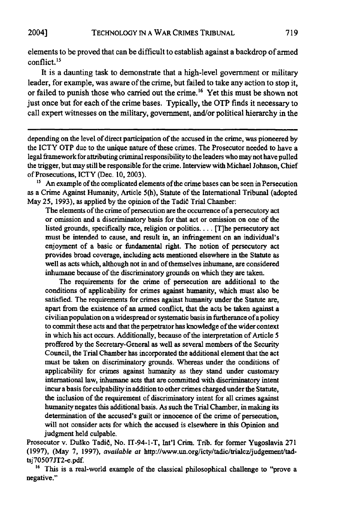elements to be proved that can be difficult to establish against a backdrop of armed conflict.<sup>15</sup>

It is a daunting task to demonstrate that a high-level government or military leader, for example, was aware of the crime, but failed to take any action to stop it, or failed to punish those who carried out the crime. **6** Yet this must be shown not just once but for each of the crime bases. Typically, the OTP finds it necessary to call expert witnesses on the military, government, and/or political hierarchy in the

depending on the level of direct participation of the accused in the crime, was pioneered by the ICTY OTP due to the unique nature of these crimes. The Prosecutor needed to have a legal framework for attributing criminal responsibility to the leaders who may not have pulled the trigger, but may still be responsible for the crime. Interview with Michael Johnson, Chief of Prosecutions, ICTY (Dec. 10, 2003).

<sup>15</sup> An example of the complicated elements of the crime bases can be seen in Persecution as a Crime Against Humanity, Article 5(h), Statute of the International Tribunal (adopted May 25, 1993), as applied by the opinion of the Tadid Trial Chamber:

The elements of the crime of persecution are the occurrence of a persecutory act or omission and a discriminatory basis for that act or omission on one of the listed grounds, specifically race, religion or politics.... [T]he persecutory act must be intended to cause, and result in, an infringement on an individual's enjoyment of a basic or fundamental right. The notion of persecutory act provides broad coverage, including acts mentioned elsewhere in the Statute as well as acts which, although not in and of themselves inhumane, are considered inhumane because of the discriminatory grounds on which they are taken.

The requirements for the crime of persecution are additional to the conditions of applicability for crimes against humanity, which must also be satisfied. The requirements for crimes against humanity under the Statute are, apart from the existence of an armed conflict, that the acts be taken against a civilian population on a widespread or systematic basis in furtherance ofapolicy to commit these acts and that the perpetrator has knowledge of the wider context in which his act occurs. Additionally, because of the interpretation of Article 5 proffered by the Secretary-General as well as several members of the Security Council, the Trial Chamber has incorporated the additional element that the act must be taken on discriminatory grounds. Whereas under the conditions of applicability for crimes against humanity as they stand under customary international law, inhumane acts that are committed with discriminatory intent incur a basis for culpability in addition to other crimes charged under the Statute, the inclusion of the requirement of discriminatory intent for all crimes against humanity negates this additional basis. As such the Trial Chamber, in making its determination of the accused's guilt or innocence of the crime of persecution, will not consider acts for which the accused is elsewhere in this Opinion and judgment held culpable.

Prosecutor v. Duko Tadid, No. IT-94-1-T, Int'l Crim. Trib. for former Yugoslavia **271** (1997), (May 7, 1997), *available at* http://www.un.org/icty/tadic/trialcz/judgement/tadtsj70507JT2-e.pdf.

<sup>16</sup> This is a real-world example of the classical philosophical challenge to "prove a negative."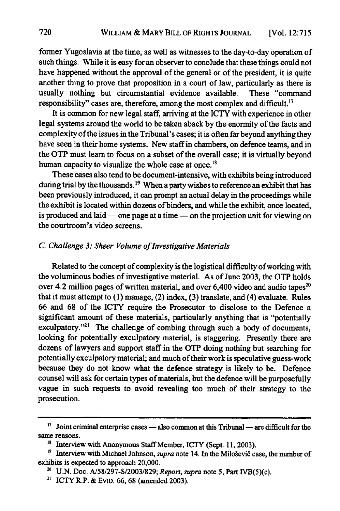former Yugoslavia at the time, as well as witnesses to the day-to-day operation of such things. While it is easy for an observer to conclude that these things could not have happened without the approval of the general or of the president, it is quite another thing to prove that proposition in a court of law, particularly as there is usually nothing but circumstantial evidence available. These "command responsibility" cases are, therefore, among the most complex and difficult.'

It is common for new legal staff, arriving at the ICTY with experience in other legal systems around the world to be taken aback **by** the enormity of the facts and complexity of the issues in the Tribunal's cases; it is often far beyond anything they have seen in their home systems. New staff in chambers, on defence teams, and in the OTP must learn to focus on a subset of the overall case; it is virtually beyond human capacity to visualize the whole case at once.<sup>18</sup>

These cases also tend to be document-intensive, with exhibits being introduced during trial by the thousands.<sup>19</sup> When a party wishes to reference an exhibit that has been previously introduced, it can prompt an actual delay in the proceedings while the exhibit is located within dozens of binders, and while the exhibit, once located, is produced and laid  $\sim$  one page at a time  $\sim$  on the projection unit for viewing on the courtroom's video screens.

### *C. Challenge 3: Sheer Volume of Investigative Materials*

Related to the concept of complexity is the logistical difficulty of working with the voluminous bodies of investigative material. As of June **2003,** the OTP holds over 4.2 million pages of written material, and over  $6,400$  video and audio tapes<sup>20</sup> that it must attempt to (1) manage, (2) index, **(3)** translate, and (4) evaluate. Rules **66** and **68** of the ICTY require the Prosecutor to disclose to the Defence a significant amount of these materials, particularly anything that is "potentially exculpatory."<sup>21</sup> The challenge of combing through such a body of documents, looking for potentially exculpatory material, is staggering. Presently there are dozens of lawyers and support staff in the OTP doing nothing but searching for potentially exculpatory material; and much of their work is speculative guess-work because they do not know what the defence strategy is likely to be. Defence counsel will ask for certain types of materials, but the defence will be purposefully vague in such requests to avoid revealing too much of their strategy to the prosecution.

<sup>&#</sup>x27;7 Joint criminal enterprise cases **-** also common at this Tribunal **-** are difficult for the same reasons.

<sup>&</sup>lt;sup>18</sup> Interview with Anonymous Staff Member, ICTY (Sept. 11, 2003).

<sup>&</sup>lt;sup>19</sup> Interview with Michael Johnson, *supra* note 14. In the Miloševič case, the number of exhibits is expected to approach 20,000.

**<sup>20</sup>** U.N. Doc. A/58/297-S/2003/829; *Report, supra* note **5,** Part IVB(5)(c).

<sup>21</sup> ICTY R.P. **&** EvnD. **66, 68** (amended **2003).**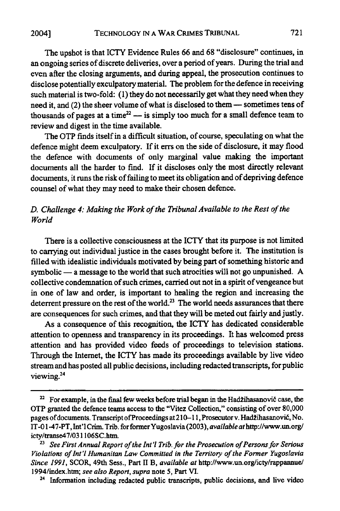The upshot is that ICTY Evidence Rules **66** and **68** "disclosure" continues, in an ongoing series of discrete deliveries, over a period of years. During the trial and even after the closing arguments, and during appeal, the prosecution continues to disclose potentially exculpatory material. The problem for the defence in receiving such material is two-fold: **(1)** they do not necessarily get what they need when they need it, and (2) the sheer volume of what is disclosed to them **-** sometimes tens of thousands of pages at a time<sup>22</sup> — is simply too much for a small defence team to review and digest in the time available.

721

The **OTP** finds itself in a difficult situation, of course, speculating on what the defence might deem exculpatory. **If** it errs on the side of disclosure, it may flood the defence with documents of only marginal value making the important documents all the harder to *find.* **If** it discloses only the most directly relevant documents, it runs the risk of failing to meet its obligation and of depriving defence counsel of what they may need to make their chosen defence.

### *D. Challenge 4: Making the Work of the Tribunal Available to the Rest of the World*

There is a collective consciousness at the ICTY that its purpose is not limited to carrying out individual justice in the cases brought before it. The institution is filled with idealistic individuals motivated by being part of something historic and  $symbolic$   $-$  a message to the world that such atrocities will not go unpunished. A collective condemnation of such crimes, carried out not in a spirit of vengeance but in one of law and order, is important to healing the region and increasing the deterrent pressure on the rest of the world.<sup>23</sup> The world needs assurances that there are consequences for such crimes, and that they will be meted out fairly and justly.

As a consequence of this recognition, the ICTY has dedicated considerable attention to openness and transparency in its proceedings. It has welcomed press attention and has provided video feeds of proceedings to television stations. Through the Internet, the ICTY has made its proceedings available **by** live video stream and has posted all public decisions, including redacted transcripts, for public viewing.<sup>24</sup>

<sup>&</sup>lt;sup>22</sup> For example, in the final few weeks before trial began in the Hadžihasanovič case, the OTP granted the defence teams access to the "Vitez Collection," consisting of over **80,000** pages of documents. Transcript of Proceedings at 210-11, Prosecutor v. Hadžihasanovič, No. IT-0 1-47-PT, Int'l Crim. Trib. for formerYugoslavia **(2003),** *available at* http://www.un.org/ icty/transe47/031106SC.htm.

<sup>&</sup>lt;sup>23</sup> See First Annual Report of the Int'l Trib. for the Prosecution of Persons for Serious *Violations of nt'l Humanitan Law Committed in the Territory of the Former Yugoslavia Since 1991,* SCOR, 49th Sess., Part II B, *available at* http://www.un.org/icty/rappannue/ 1994/index.htm; *see also Report, supra* note **5,** Part VI.

<sup>&</sup>lt;sup>24</sup> Information including redacted public transcripts, public decisions, and live video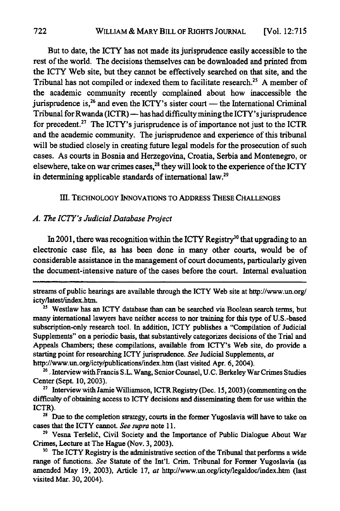But to date, the ICTY has not made its jurisprudence easily accessible to the rest of the world. The decisions themselves can be downloaded and printed from the **ICTY** Web site, but they cannot be effectively searched on that site, and the Tribunal has not compiled or indexed them to facilitate research.<sup>25</sup> A member of the academic community recently complained about how inaccessible the jurisprudence is,<sup>26</sup> and even the ICTY's sister court — the International Criminal Tribunal for Rwanda (ICTR) - has had difficulty mining the ICTY's jurisprudence for precedent.27 The ICTY's jurisprudence is of importance not just to the **ICTR** and the academic community. The jurisprudence and experience of this tribunal will be studied closely in creating future legal models for the prosecution of such cases. As courts in Bosnia and Herzegovina, Croatia, Serbia and Montenegro, or elsewhere, take on war crimes cases,<sup>28</sup> they will look to the experience of the ICTY in determining applicable standards of international law.29

#### **m. TECHNOLOGY INNOVATIONS TO ADDRESS THESE CHALLENGES**

### *A. The ICTY's Judicial Database Project*

In 2001, there was recognition within the ICTY Registry<sup>30</sup> that upgrading to an electronic case file, as has been done in many other courts, would be of considerable assistance in the management of court documents, particularly given the document-intensive nature of the cases before the court. Internal evaluation

streams of public hearings are available through the ICTY Web site at http://www.un.org/ icty/latest/index.htm.<br><sup>25</sup> Westlaw has an ICTY database than can be searched via Boolean search terms, but

many international lawyers have neither access to nor training for this **type** of U.S.-based subscription-only research tool. In addition, ICTY publishes a "Compilation of Judicial Supplements" on a periodic basis, that substantively categorizes decisions of the Trial and Appeals Chambers; these compilations, available from ICTY's Web site, do provide a starting point for researching ICTY jurisprudence. *See* Judicial Supplements, at http://www.un.org/icty/publications/index.htm (last visited Apr. 6, 2004).

<sup>&</sup>lt;sup>26</sup> Interview with Francis S.L. Wang, Senior Counsel, U.C. Berkeley War Crimes Studies Center (Sept. **10, 2003).**

**<sup>27</sup>**Interview with Jamie Williamson, ICTR Registry (Dec. **15,2003)** (commenting on the difficulty of obtaining access to ICTY decisions and disseminating them for use within the ICTR).

<sup>&</sup>lt;sup>28</sup> Due to the completion strategy, courts in the former Yugoslavia will have to take on cases that the ICTY cannot. *See supra* note **11.**

<sup>&</sup>lt;sup>29</sup> Vesna Teršelič, Civil Society and the Importance of Public Dialogue About War Crimes, Lecture at The Hague (Nov. **3, 2003).**

<sup>&</sup>lt;sup>30</sup> The ICTY Registry is the administrative section of the Tribunal that performs a wide range of functions. *See* Statute of the Int'l. Crim. Tribunal for Former Yugoslavia (as amended May **19, 2003),** Article **17,** *at* http://www.un.org/icty/legaldoc/index.htm (last visited Mar. **30,** 2004).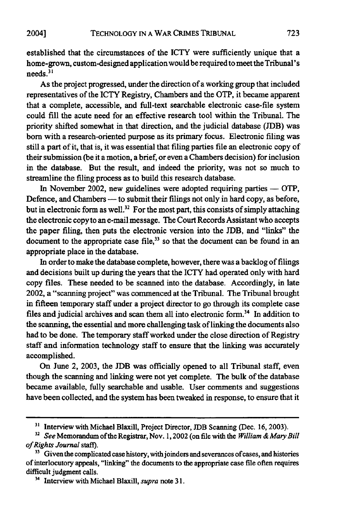established that the circumstances of the ICTY were sufficiently unique that a home-grown, custom-designed application would be required to meet the Tribunal's needs.<sup>31</sup>

As the project progressed, under the direction of a working group that included representatives of the ICTY Registry, Chambers and the OTP, it became apparent that a complete, accessible, and full-text searchable electronic case-file system could **fill** the acute need for an effective research tool within the Tribunal. The priority shifted somewhat in that direction, and the judicial database **(JDB)** was born with a research-oriented purpose as its primary focus. Electronic filing was still a part of it, that is, it was essential that filing parties file an electronic copy of their submission (be it a motion, a brief, or even a Chambers decision) for inclusion in the database. But the result, and indeed the priority, was not so much to streamline the filing process as to build this research database.

In November 2002, new guidelines were adopted requiring parties  $-$  OTP, Defence, and Chambers - to submit their filings not only in hard copy, as before, but in electronic form as well.<sup>32</sup> For the most part, this consists of simply attaching the electronic copy to an e-mail message. The Court Records Assistant who accepts the paper filing, then puts the electronic version into the **JDB,** and "links" the document to the appropriate case file, $33$  so that the document can be found in an appropriate place in the database.

In order to make the database complete, however, there was a backlog of filings and decisions built up during the years that the ICTY had operated only with hard copy files. These needed to be scanned into the database. Accordingly, in late 2002, a "scanning project" was commenced at the Tribunal. The Tribunal brought in fifteen temporary staff under a project director to go through its complete case files and judicial archives and scan them all into electronic form.<sup>34</sup> In addition to the scanning, the essential and more challenging task of linking the documents also had to be done. The temporary staff worked under the close direction of Registry staff and information technology staff to ensure that the linking was accurately accomplished.

On June 2, **2003,** the **JDB** was officially opened to all Tribunal staff, even though the scanning and linking were not yet complete. The bulk of the database became available, **fully** searchable and usable. User comments and suggestions have been collected, and the system has been tweaked in response, to ensure that it

**<sup>3&#</sup>x27;** Interview with Michael Blaxill, Project Director, **JDB** Scanning (Dec. 16, 2003).

*<sup>32</sup>See* Memorandum of the Registrar, Nov. 1,2002 (on file with the *William & Mary Bill of Rights Journal staff).*

<sup>&</sup>lt;sup>33</sup> Given the complicated case history, with joinders and severances of cases, and histories of interlocutory appeals, "linking" the documents to the appropriate case file often requires difficult judgment calls.

<sup>3</sup> Interview with Michael Blaxill, *supra* note **31.**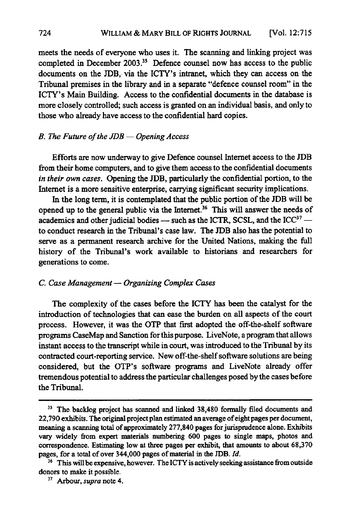meets the needs of everyone who uses it. The scanning and linking project was completed in December 2003.<sup>35</sup> Defence counsel now has access to the public documents on the JDB, via the ICTY's intranet, which they can access on the Tribunal premises in the library and in a separate "defence counsel room" in the ICTY's Main Building. Access to the confidential documents in the database is more closely controlled; such access is granted on an individual basis, and only to those who already have access to the confidential hard copies.

### *B. The Future of the JDB* **-** *Opening Access*

Efforts are now underway to give Defence counsel Internet access to the **JDB** from their home computers, and to give them access to the confidential documents *in their own cases.* Opening the **JDB,** particularly the confidential portion, to the Internet is a more sensitive enterprise, carrying significant security implications.

In the long term, it is contemplated that the public portion of the **JDB** will be opened up to the general public via the Internet.<sup>36</sup> This will answer the needs of academics and other judicial bodies - such as the ICTR, SCSL, and the ICC<sup>37</sup> to conduct research in the Tribunal's case law. The **JDB** also has the potential to serve as a permanent research archive for the United Nations, making the full history of the Tribunal's work available to historians and researchers for generations to come.

### *C. Case Management* **-** *Organizing Complex Cases*

The complexity of the cases before the ICTY has been the catalyst for the introduction of technologies that can ease the burden on all aspects of the court process. However, it was the **OTP** that first adopted the off-the-shelf software programs CaseMap and Sanction for this purpose. LiveNote, a program that allows instant access to the transcript while in court, was introduced to the Tribunal **by** its contracted court-reporting service. New off-the-shelf software solutions are being considered, but the OTP's software programs and LiveNote already offer tremendous potential to address the particular challenges posed **by** the cases before the Tribunal.

<sup>&</sup>lt;sup>35</sup> The backlog project has scanned and linked 38,480 formally filed documents and **22,790** exhibits. The original project plan estimated an average of eight pages per document, meaning a scanning total of approximately **277,840** pages for jurisprudence alone. Exhibits vary widely from expert materials numbering **600** pages to single maps, photos and **correspondence. Estimating** low at three pages per exhibit, that amounts to about **68,370** pages, for a total of over 344,000 pages of material **in** the **JDB.** *Id.*

<sup>&</sup>lt;sup>36</sup> This will be expensive, however. The ICTY is actively seeking assistance from outside donors to make **it** possible.

**<sup>37</sup>**Arbour, *supra* note 4.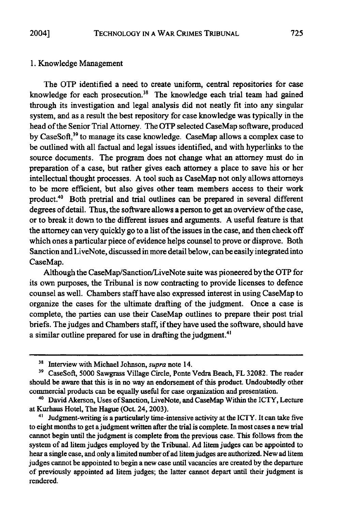### **1.** Knowledge Management

The OTP identified a need to create uniform, central repositories for case knowledge for each prosecution.<sup>38</sup> The knowledge each trial team had gained through its investigation and legal analysis did not neatly fit into any singular system, and as a result the best repository for case knowledge was typically in the head of the Senior Trial Attorney. The OTP selected CaseMap software, produced **by** CaseSoft, 39 to manage its case knowledge. CaseMap allows a complex case to be outlined with all factual and legal issues identified, and with hyperlinks to the source documents. The program does not change what an attorney must do in preparation of a case, but rather gives each attorney a place to save his or her intellectual thought processes. **A** tool such as CaseMap not only allows attorneys to be more efficient, but also gives other team members access to their work product.40 Both pretrial and trial outlines can be prepared in several different degrees of detail. Thus, the software allows a person to get an overview of the case, or to break it down to the different issues and arguments. **A** useful feature is that the attorney can very quickly go to a list of the issues in the case, and then check off which ones a particular piece of evidence helps counsel to prove or disprove. Both Sanction and LiveNote, discussed in more detail below, can be easily integrated into CaseMap.

Although the CaseMap/Sanction/LiveNote suite was pioneered **by** the OTP for its own purposes, the Tribunal is now contracting to provide licenses to defence counsel as well. Chambers staff have also expressed interest in using CaseMap to organize the cases for the ultimate drafting of the judgment. Once a case is complete, the parties can use their CaseMap outlines to prepare their post trial briefs. The judges and Chambers staff, if they have used the software, should have a similar outline prepared for use in drafting the judgment.<sup>41</sup>

**<sup>&#</sup>x27;8** Interview with Michael Johnson, *supra* note 14.

**<sup>39</sup>**CaseSoft, **5000** Sawgrass Village Circle, Ponte Vedra Beach, FL **32082.** The reader should be aware that this is **in** no way an endorsement of this product. Undoubtedly other commercial products can be equally useful for case organization and presentation.

<sup>&</sup>lt;sup>40</sup> David Akerson, Uses of Sanction, LiveNote, and CaseMap Within the ICTY, Lecture at Kurhaus Hotel, The Hague (Oct. 24, **2003).**

<sup>&</sup>lt;sup>41</sup> Judgment-writing is a particularly time-intensive activity at the ICTY. It can take five to eight months to get a judgment written after the trial is complete. In most cases a new trial cannot begin until the judgment is complete from the previous case. This follows from the system of ad litem judges employed **by** the Tribunal. **Ad** litem judges can be appointed to hear a single case, and only a limited number of ad litem judges are authorized. New ad litem judges cannot be appointed to begin a new case until vacancies are created **by** the departure of previously appointed ad litem judges; the latter cannot depart until their judgment is rendered.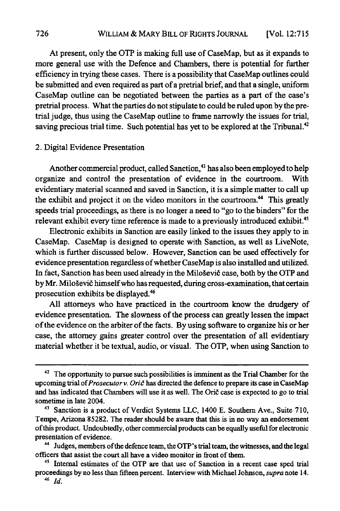At present, only the OTP is making full use of CaseMap, but as it expands to more general use with the Defence and Chambers, there is potential for further efficiency in trying these cases. There is a possibility that CaseMap outlines could be submitted and even required as part of a pretrial brief, and that a single, uniform CaseMap outline can be negotiated between the parties as a part of the case's pretrial process. What the parties do not stipulate to could be ruled upon **by** the pretrial judge, thus using the CaseMap outline to frame narrowly the issues for trial, saving precious trial time. Such potential has yet to be explored at the Tribunal. $42$ 

### 2. Digital Evidence Presentation

Another commercial product, called Sanction,<sup>43</sup> has also been employed to help organize and control the presentation of evidence in the courtroom. With evidentiary material scanned and saved in Sanction, it is a simple matter to call up the exhibit and project it on the video monitors in the courtroom.<sup>44</sup> This greatly speeds trial proceedings, as there is no longer a need to "go to the binders" for the relevant exhibit every time reference is made to a previously introduced exhibit.<sup>45</sup>

Electronic exhibits in Sanction are easily linked to the issues they apply to in CaseMap. CaseMap is designed to operate with Sanction, as well as LiveNote, which is further discussed below. However, Sanction can be used effectively for evidence presentation regardless of whether CaseMap is also installed and utilized. In fact, Sanction has been used already in the Milogevid case, both **by** the OTP and by Mr. Miloševič himself who has requested, during cross-examination, that certain prosecution exhibits be displayed.'

**All** attorneys who have practiced in the courtroom know the drudgery of evidence presentation. The slowness of the process can greatly lessen the impact of the evidence on the arbiter of the facts. **By** using software to organize his or her case, the attorney gains greater control over the presentation of all evidentiary material whether it be textual, audio, or visual. The OTP, when using Sanction to

<sup>&</sup>lt;sup>42</sup> The opportunity to pursue such possibilities is imminent as the Trial Chamber for the upcoming trial *ofProsecutor v. Ori6* has directed the defence to prepare its case in CaseMap and has indicated that Chambers will use it as well. The Orič case is expected to go to trial sometime in late 2004.

**<sup>41</sup>**Sanction is a product of Verdict Systems **LLC,** 1400 **E.** Southern Ave., Suite **710,** Tempe, Arizona **85282.** The reader should be aware that this is in no way an endorsement of this product. Undoubtedly, other commercial products can be equally useful for electronic presentation of evidence.

<sup>&</sup>lt;sup>44</sup> Judges, members of the defence team, the OTP's trial team, the witnesses, and the legal officers that assist the court all have a video monitor in front of them.

<sup>&</sup>lt;sup>45</sup> Internal estimates of the OTP are that use of Sanction in a recent case sped trial proceedings **by** no less than fifteen percent. Interview with Michael Johnson, *supra* note 14.

<sup>46</sup>*Id.*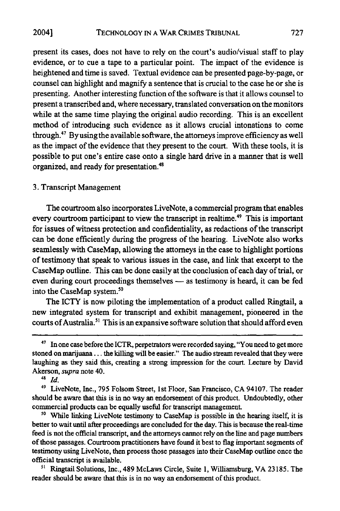present its cases, does not have to rely on the court's audio/visual staff to play evidence, or to cue a tape to a particular point. The impact of the evidence is heightened and time is saved. Textual evidence can be presented page-by-page, or counsel can highlight and magnify a sentence that is crucial to the case he or she is presenting. Another interesting function of the software is that it allows counsel to present a transcribed and, where necessary, translated conversation on the monitors while at the same time playing the original audio recording. This is an excellent method of introducing such evidence as it allows crucial intonations to come through.47 Byusing the available software, the attorneys improve efficiency as well as the impact of the evidence that they present to the court. With these tools, it is possible to put one's entire case onto a single hard drive in a manner that is well organized, and ready for presentation.48

### 3. Transcript Management

The courtroom also incorporates LiveNote, a commercial program that enables every courtroom participant to view the transcript in realtime.<sup>49</sup> This is important for issues of witness protection and confidentiality, as redactions of the transcript can be done efficiently during the progress of the hearing. LiveNote also works seamlessly with CaseMap, allowing the attorneys in the case to highlight portions of testimony that speak to various issues in the case, and link that excerpt to the CaseMap outline. This can be done easily at the conclusion of each day of trial, or even during court proceedings themselves - as testimony is heard, it can be fed into the CaseMap system.<sup>50</sup>

The ICTY is now piloting the implementation of a product called Ringtail, a new integrated system for transcript and exhibit management, pioneered in the courts of Australia.<sup>51</sup> This is an expansive software solution that should afford even

**<sup>48</sup>***Id.*

**"0** While linking LiveNote testimony to CaseMap is possible in the hearing itself, it is better to wait until after proceedings are concluded for the day. This is because the real-time feed is not the official transcript, and the attorneys cannot rely on the line and page numbers of those passages. Courtroom practitioners have found it best to flag important segments of testimony using LiveNote, then process those passages into their CaseMap outline once the official transcript is available.

<sup>51</sup> Ringtail Solutions, Inc., 489 McLaws Circle, Suite 1, Williamsburg, VA 23185. The reader should be aware that this is in no way an endorsement of this product.

<sup>&</sup>lt;sup>47</sup> In one case before the ICTR, perpetrators were recorded saying, "You need to get more stoned on marijuana... the killing will be easier." The audio stream revealed that they were laughing as they said this, creating a strong impression for the court. Lecture **by** David Akerson, *supra* note 40.

**<sup>49</sup>**LiveNote, Inc., **795** Folsom Street, **1st** Floor, San Francisco, **CA** 94107. The reader should be aware that this is in no way an endorsement of this product. Undoubtedly, other commercial products can be equally useful for transcript management.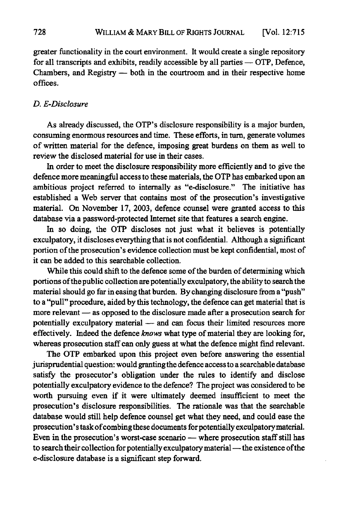greater functionality in the court environment. It would create a single repository for all transcripts and exhibits, readily accessible **by** all parties - OTP, Defence, Chambers, and Registry  $-$  both in the courtroom and in their respective home offices.

### *D. E-Disclosure*

As already discussed, the OTP's disclosure responsibility is a major burden, consuming enormous resources and time. These efforts, in turn, generate volumes of written material for the defence, imposing great burdens on them as well to review the disclosed material for use in their cases.

In order to meet the disclosure responsibility more efficiently and to give the defence more meaningful access to these materials, the OTP has embarked upon an ambitious project referred to internally as "e-disclosure." The initiative has established a Web server that contains most of the prosecution's investigative material. On November **17, 2003,** defence counsel were granted access to this database via a password-protected Internet site that features a search engine.

In so doing, the OTP discloses not just what it believes is potentially exculpatory, it discloses everything that is not confidential. Although a significant portion of the prosecution's evidence collection must be kept confidential, most of it can be added to this searchable collection.

While this could shift to the defence some of the burden of determining which portions of the public collection are potentially exculpatory, the ability to search the material should go far in easing that burden. **By** changing disclosure from a "push" to a "pull" procedure, aided **by** this technology, the defence can get material that is more relevant - as opposed to the disclosure made after a prosecution search for potentially exculpatory material **-** and can focus their limited resources more effectively. Indeed the defence *knows* what type of material they are looking for, whereas prosecution staff can only guess at what the defence might find relevant.

The OTP embarked upon this project even before answering the essential jurisprudential question: would granting the defence access to a searchable database satisfy the prosecutor's obligation under the rules to identify and disclose potentially exculpatory evidence to the defence? The project was considered to be worth pursuing even if it were ultimately deemed insufficient to meet the prosecution's disclosure responsibilities. The rationale was that the searchable database would still help defence counsel get what they need, and could ease the prosecution's task of combing these documents for potentially exculpatory material. Even in the prosecution's worst-case scenario - where prosecution staff still has to search their collection for potentially exculpatory material - the existence of the e-disclosure database is a significant step forward.